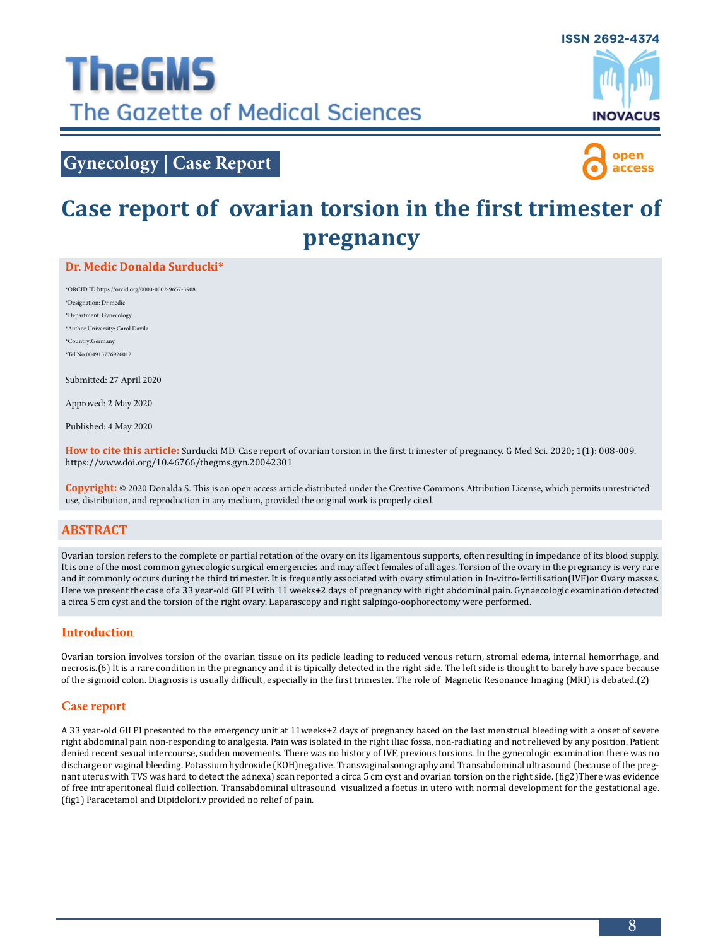

# **Gynecology | Case Report**



# **Case report of ovarian torsion in the first trimester of pregnancy**

### **Dr. Medic Donalda Surducki\***

\*ORCID ID:https://orcid.org/0000-0002-9657-3908 \*Designation: Dr.medic \*Department: Gynecology \*Author University: Carol Davila \*Country:Germany \*Tel No:004915776926012

Submitted: 27 April 2020

Approved: 2 May 2020

Published: 4 May 2020

**How to cite this article:** Surducki MD. Case report of ovarian torsion in the first trimester of pregnancy. G Med Sci. 2020; 1(1): 008-009. https://www.doi.org/10.46766/thegms.gyn.20042301

**Copyright:** © 2020 Donalda S. This is an open access article distributed under the Creative Commons Attribution License, which permits unrestricted use, distribution, and reproduction in any medium, provided the original work is properly cited.

# **Abstract**

Ovarian torsion refers to the complete or partial rotation of the ovary on its ligamentous supports, often resulting in impedance of its blood supply. It is one of the most common gynecologic surgical emergencies and may affect females of all ages. Torsion of the ovary in the pregnancy is very rare and it commonly occurs during the third trimester. It is frequently associated with ovary stimulation in In-vitro-fertilisation(IVF)or Ovary masses. Here we present the case of a 33 year-old GII PI with 11 weeks+2 days of pregnancy with right abdominal pain. Gynaecologic examination detected a circa 5 cm cyst and the torsion of the right ovary. Laparascopy and right salpingo-oophorectomy were performed.

# **Introduction**

Ovarian torsion involves torsion of the ovarian tissue on its pedicle leading to reduced venous return, stromal edema, internal hemorrhage, and necrosis.(6) It is a rare condition in the pregnancy and it is tipically detected in the right side. The left side is thought to barely have space because of the sigmoid colon. Diagnosis is usually difficult, especially in the first trimester. The role of Magnetic Resonance Imaging (MRI) is debated.(2)

### **Case report**

A 33 year-old GII PI presented to the emergency unit at 11weeks+2 days of pregnancy based on the last menstrual bleeding with a onset of severe right abdominal pain non-responding to analgesia. Pain was isolated in the right iliac fossa, non-radiating and not relieved by any position. Patient denied recent sexual intercourse, sudden movements. There was no history of IVF, previous torsions. In the gynecologic examination there was no discharge or vaginal bleeding. Potassium hydroxide (KOH)negative. Transvaginalsonography and Transabdominal ultrasound (because of the pregnant uterus with TVS was hard to detect the adnexa) scan reported a circa 5 cm cyst and ovarian torsion on the right side. (fig2)There was evidence of free intraperitoneal fluid collection. Transabdominal ultrasound visualized a foetus in utero with normal development for the gestational age. (fig1) Paracetamol and Dipidolori.v provided no relief of pain.